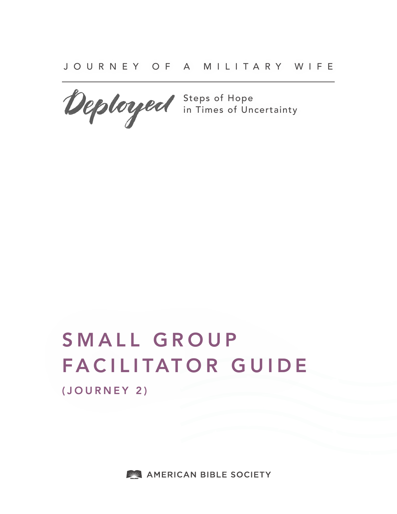JOURNEY OF A MILITARY WIFE

Steps of Hope in Times of Uncertainty

# SMALL GROUP FACILITATOR GUIDE (JOURNEY 2)

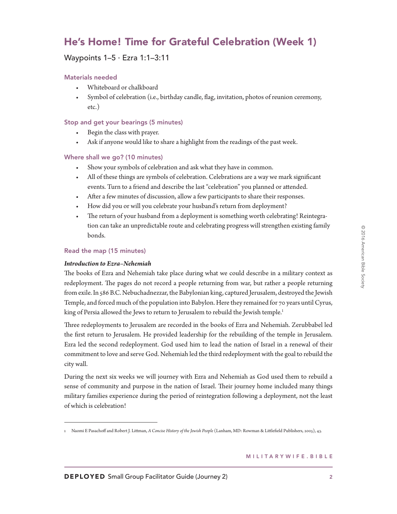# He's Home! Time for Grateful Celebration (Week 1)

# Waypoints 1–5 ∙ Ezra 1:1–3:11

# Materials needed

- Whiteboard or chalkboard
- Symbol of celebration (i.e., birthday candle, flag, invitation, photos of reunion ceremony, etc.)

# Stop and get your bearings (5 minutes)

- Begin the class with prayer.
- Ask if anyone would like to share a highlight from the readings of the past week.

# Where shall we go? (10 minutes)

- Show your symbols of celebration and ask what they have in common.
- All of these things are symbols of celebration. Celebrations are a way we mark significant events. Turn to a friend and describe the last "celebration" you planned or attended.
- After a few minutes of discussion, allow a few participants to share their responses.
- How did you or will you celebrate your husband's return from deployment?
- The return of your husband from a deployment is something worth celebrating! Reintegration can take an unpredictable route and celebrating progress will strengthen existing family bonds.

### Read the map (15 minutes)

### *Introduction to Ezra–Nehemiah*

The books of Ezra and Nehemiah take place during what we could describe in a military context as redeployment. The pages do not record a people returning from war, but rather a people returning from exile. In 586 B.C. Nebuchadnezzar, the Babylonian king, captured Jerusalem, destroyed the Jewish Temple, and forced much of the population into Babylon. Here they remained for 70 years until Cyrus, king of Persia allowed the Jews to return to Jerusalem to rebuild the Jewish temple.<sup>1</sup>

Three redeployments to Jerusalem are recorded in the books of Ezra and Nehemiah. Zerubbabel led the first return to Jerusalem. He provided leadership for the rebuilding of the temple in Jerusalem. Ezra led the second redeployment. God used him to lead the nation of Israel in a renewal of their commitment to love and serve God. Nehemiah led the third redeployment with the goal to rebuild the city wall.

During the next six weeks we will journey with Ezra and Nehemiah as God used them to rebuild a sense of community and purpose in the nation of Israel. Their journey home included many things military families experience during the period of reintegration following a deployment, not the least of which is celebration!

<sup>1</sup> Naomi E Pasachoff and Robert J. Littman, *A Concise History of the Jewish People* (Lanham, MD: Rowman & Littlefield Publishers, 2005), 43.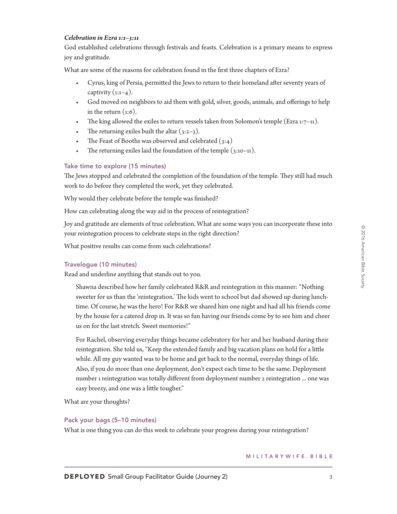### *Celebration in Ezra 1:1–3:11*

God established celebrations through festivals and feasts. Celebration is a primary means to express joy and gratitude.

What are some of the reasons for celebration found in the first three chapters of Ezra?

- Cyrus, king of Persia, permitted the Jews to return to their homeland after seventy years of captivity  $(i:1-4)$ .
- God moved on neighbors to aid them with gold, silver, goods, animals, and offerings to help in the return  $(1:6)$ .
- The king allowed the exiles to return vessels taken from Solomon's temple (Ezra  $1:7-11$ ).
- The returning exiles built the altar  $(3:2-3)$ .
- The Feast of Booths was observed and celebrated  $(3:4)$
- The returning exiles laid the foundation of the temple  $(3:10-11)$ .

# Take time to explore (15 minutes)

The Jews stopped and celebrated the completion of the foundation of the temple. They still had much work to do before they completed the work, yet they celebrated.

Why would they celebrate before the temple was finished?

How can celebrating along the way aid in the process of reintegration?

Joy and gratitude are elements of true celebration. What are some ways you can incorporate these into your reintegration process to celebrate steps in the right direction?

What positive results can come from such celebrations?

# Travelogue (10 minutes)

Read and underline anything that stands out to you.

Shawna described how her family celebrated R&R and reintegration in this manner: "Nothing sweeter for us than the 'reintegration.' The kids went to school but dad showed up during lunchtime. Of course, he was the hero! For R&R we shared him one night and had all his friends come by the house for a catered drop in. It was so fun having our friends come by to see him and cheer us on for the last stretch. Sweet memories!"

For Rachel, observing everyday things became celebratory for her and her husband during their reintegration. She told us, "Keep the extended family and big vacation plans on hold for a little while. All my guy wanted was to be home and get back to the normal, everyday things of life. Also, if you do more than one deployment, don't expect each time to be the same. Deployment number 1 reintegration was totally different from deployment number 2 reintegration ... one was easy breezy, and one was a little tougher."

What are your thoughts?

### Pack your bags (5–10 minutes)

What is one thing you can do this week to celebrate your progress during your reintegration?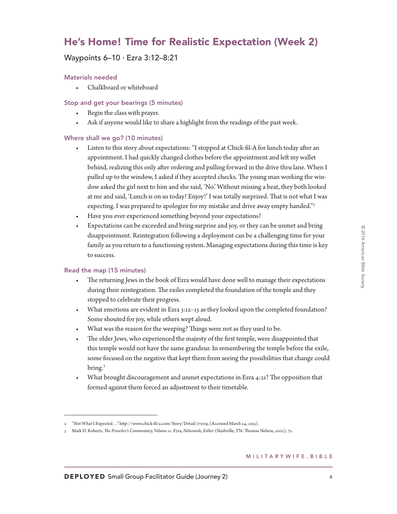# He's Home! Time for Realistic Expectation (Week 2)

# Waypoints 6–10 ∙ Ezra 3:12–8:21

### Materials needed

• Chalkboard or whiteboard

# Stop and get your bearings (5 minutes)

- Begin the class with prayer.
- Ask if anyone would like to share a highlight from the readings of the past week.

# Where shall we go? (10 minutes)

- Listen to this story about expectations: "I stopped at Chick-fil-A for lunch today after an appointment. I had quickly changed clothes before the appointment and left my wallet behind, realizing this only after ordering and pulling forward in the drive thru lane. When I pulled up to the window, I asked if they accepted checks. The young man working the window asked the girl next to him and she said, 'No.' Without missing a beat, they both looked at me and said, 'Lunch is on us today! Enjoy!' I was totally surprised. That is not what I was expecting. I was prepared to apologize for my mistake and drive away empty handed."2
- Have you ever experienced something beyond your expectations?
- Expectations can be exceeded and bring surprise and joy, or they can be unmet and bring disappointment. Reintegration following a deployment can be a challenging time for your family as you return to a functioning system. Managing expectations during this time is key to success.

### Read the map (15 minutes)

- The returning Jews in the book of Ezra would have done well to manage their expectations during their reintegration. The exiles completed the foundation of the temple and they stopped to celebrate their progress.
- What emotions are evident in Ezra 3:12–13 as they looked upon the completed foundation? Some shouted for joy, while others wept aloud.
- What was the reason for the weeping? Things were not as they used to be.
- The older Jews, who experienced the majesty of the first temple, were disappointed that this temple would not have the same grandeur. In remembering the temple before the exile, some focused on the negative that kept them from seeing the possibilities that change could bring.3
- What brought discouragement and unmet expectations in Ezra 4:21? The opposition that formed against them forced an adjustment to their timetable.

<sup>2 &</sup>quot;Not What I Expected…" http://www.chick-fil-a.com/Story/Detail/17009, (Accessed March 24, 2015).

<sup>3</sup> Mark D. Roberts, *The Preacher's Commentary, Volume 11: Ezra, Nehemiah, Esther* (Nashville, TN: Thomas Nelson, 2002), 72.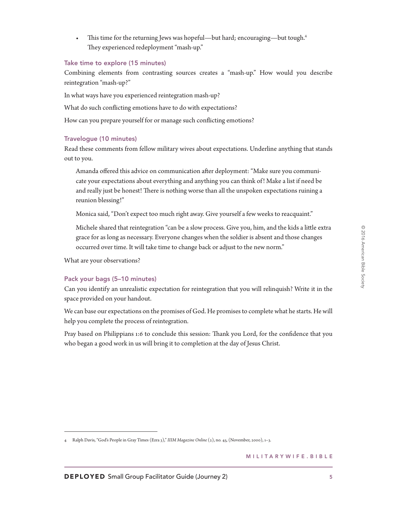This time for the returning Jews was hopeful—but hard; encouraging—but tough.<sup>4</sup> They experienced redeployment "mash-up."

### Take time to explore (15 minutes)

Combining elements from contrasting sources creates a "mash-up." How would you describe reintegration "mash-up?"

In what ways have you experienced reintegration mash-up?

What do such conflicting emotions have to do with expectations?

How can you prepare yourself for or manage such conflicting emotions?

# Travelogue (10 minutes)

Read these comments from fellow military wives about expectations. Underline anything that stands out to you.

Amanda offered this advice on communication after deployment: "Make sure you communicate your expectations about everything and anything you can think of! Make a list if need be and really just be honest! There is nothing worse than all the unspoken expectations ruining a reunion blessing!"

Monica said, "Don't expect too much right away. Give yourself a few weeks to reacquaint."

Michele shared that reintegration "can be a slow process. Give you, him, and the kids a little extra grace for as long as necessary. Everyone changes when the soldier is absent and those changes occurred over time. It will take time to change back or adjust to the new norm."

What are your observations?

# Pack your bags (5–10 minutes)

Can you identify an unrealistic expectation for reintegration that you will relinquish? Write it in the space provided on your handout.

We can base our expectations on the promises of God. He promises to complete what he starts. He will help you complete the process of reintegration.

Pray based on Philippians 1:6 to conclude this session: Thank you Lord, for the confidence that you who began a good work in us will bring it to completion at the day of Jesus Christ.

<sup>4</sup> Ralph Davis, "God's People in Gray Times (Ezra 3)," *IIIM Magazine Online* (2), no. 45, (November, 2000), 1–3.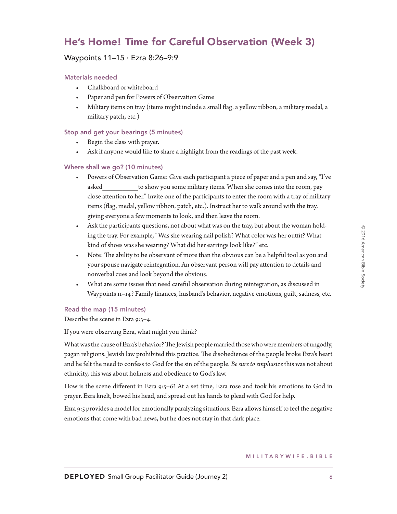# He's Home! Time for Careful Observation (Week 3)

# Waypoints 11–15 ∙ Ezra 8:26–9:9

# Materials needed

- Chalkboard or whiteboard
- Paper and pen for Powers of Observation Game
- Military items on tray (items might include a small flag, a yellow ribbon, a military medal, a military patch, etc.)

# Stop and get your bearings (5 minutes)

- Begin the class with prayer.
- Ask if anyone would like to share a highlight from the readings of the past week.

# Where shall we go? (10 minutes)

- Powers of Observation Game: Give each participant a piece of paper and a pen and say, "I've asked to show you some military items. When she comes into the room, pay close attention to her." Invite one of the participants to enter the room with a tray of military items (flag, medal, yellow ribbon, patch, etc.). Instruct her to walk around with the tray, giving everyone a few moments to look, and then leave the room.
- Ask the participants questions, not about what was on the tray, but about the woman holding the tray. For example, "Was she wearing nail polish? What color was her outfit? What kind of shoes was she wearing? What did her earrings look like?" etc.
- Note: The ability to be observant of more than the obvious can be a helpful tool as you and your spouse navigate reintegration. An observant person will pay attention to details and nonverbal cues and look beyond the obvious.
- What are some issues that need careful observation during reintegration, as discussed in Waypoints 11–14? Family finances, husband's behavior, negative emotions, guilt, sadness, etc.

# Read the map (15 minutes)

Describe the scene in Ezra 9:3–4.

If you were observing Ezra, what might you think?

What was the cause of Ezra's behavior? The Jewish people married those who were members of ungodly, pagan religions. Jewish law prohibited this practice. The disobedience of the people broke Ezra's heart and he felt the need to confess to God for the sin of the people. *Be sure to emphasize* this was not about ethnicity, this was about holiness and obedience to God's law.

How is the scene different in Ezra 9:5–6? At a set time, Ezra rose and took his emotions to God in prayer. Ezra knelt, bowed his head, and spread out his hands to plead with God for help.

Ezra 9:5 provides a model for emotionally paralyzing situations. Ezra allows himself to feel the negative emotions that come with bad news, but he does not stay in that dark place.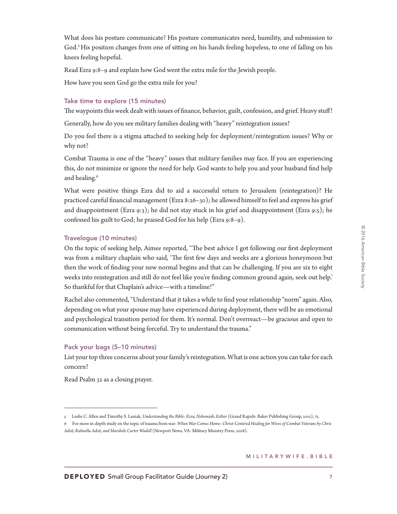What does his posture communicate? His posture communicates need, humility, and submission to God.<sup>5</sup> His position changes from one of sitting on his hands feeling hopeless, to one of falling on his knees feeling hopeful.

Read Ezra 9:8–9 and explain how God went the extra mile for the Jewish people.

How have you seen God go the extra mile for you?

# Take time to explore (15 minutes)

The waypoints this week dealt with issues of finance, behavior, guilt, confession, and grief. Heavy stuff!

Generally, how do you see military families dealing with "heavy" reintegration issues?

Do you feel there is a stigma attached to seeking help for deployment/reintegration issues? Why or why not?

Combat Trauma is one of the "heavy" issues that military families may face. If you are experiencing this, do not minimize or ignore the need for help. God wants to help you and your husband find help and healing.<sup>6</sup>

What were positive things Ezra did to aid a successful return to Jerusalem (reintegration)? He practiced careful financial management (Ezra 8:26–30); he allowed himself to feel and express his grief and disappointment (Ezra 9:3); he did not stay stuck in his grief and disappointment (Ezra 9:5); he confessed his guilt to God; he praised God for his help (Ezra 9:8–9).

# Travelogue (10 minutes)

On the topic of seeking help, Aimee reported, "The best advice I got following our first deployment was from a military chaplain who said, 'The first few days and weeks are a glorious honeymoon but then the work of finding your new normal begins and that can be challenging. If you are six to eight weeks into reintegration and still do not feel like you're finding common ground again, seek out help.' So thankful for that Chaplain's advice—with a timeline!"

Rachel also commented, "Understand that it takes a while to find your relationship "norm" again. Also, depending on what your spouse may have experienced during deployment, there will be an emotional and psychological transition period for them. It's normal. Don't overreact—be gracious and open to communication without being forceful. Try to understand the trauma."

# Pack your bags (5–10 minutes)

List your top three concerns about your family's reintegration. What is one action you can take for each concern?

Read Psalm 32 as a closing prayer.

<sup>5</sup> Leslie C. Allen and Timothy S. Laniak, *Understanding the Bible: Ezra, Nehemiah, Esther* (Grand Rapids: Baker Publishing Group, 2012), 75.

<sup>6</sup> For more in-depth study on the topic of trauma from war: *When War Comes Home: Christ-Centered Healing for Wives of Combat Veterans by Chris Adsit, Rahnella Adsit, and Marshele Carter Wadell* (Newport News, VA: Military Ministry Press, 2008).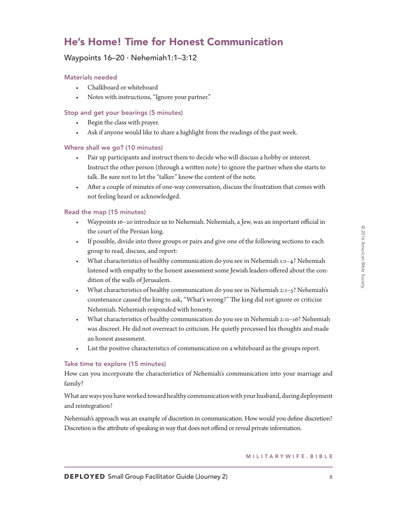# He's Home! Time for Honest Communication

# Waypoints 16–20 ∙ Nehemiah1:1–3:12

# Materials needed

- Chalkboard or whiteboard
- Notes with instructions, "Ignore your partner."

# Stop and get your bearings (5 minutes)

- Begin the class with prayer.
- Ask if anyone would like to share a highlight from the readings of the past week.

# Where shall we go? (10 minutes)

- Pair up participants and instruct them to decide who will discuss a hobby or interest. Instruct the other person (through a written note) to ignore the partner when she starts to talk. Be sure not to let the "talker" know the content of the note.
- After a couple of minutes of one-way conversation, discuss the frustration that comes with not feeling heard or acknowledged.

# Read the map (15 minutes)

- Waypoints 16–20 introduce us to Nehemiah. Nehemiah, a Jew, was an important official in the court of the Persian king.
- If possible, divide into three groups or pairs and give one of the following sections to each group to read, discuss, and report:
- What characteristics of healthy communication do you see in Nehemiah 1:1–4? Nehemiah listened with empathy to the honest assessment some Jewish leaders offered about the condition of the walls of Jerusalem.
- What characteristics of healthy communication do you see in Nehemiah 2:1–5? Nehemiah's countenance caused the king to ask, "What's wrong?" The king did not ignore or criticize Nehemiah. Nehemiah responded with honesty.
- What characteristics of healthy communication do you see in Nehemiah 2:11–16? Nehemiah was discreet. He did not overreact to criticism. He quietly processed his thoughts and made an honest assessment.
- List the positive characteristics of communication on a whiteboard as the groups report.

# Take time to explore (15 minutes)

How can you incorporate the characteristics of Nehemiah's communication into your marriage and family?

What are ways you have worked toward healthy communication with your husband, during deployment and reintegration?

Nehemiah's approach was an example of discretion in communication. How would you define discretion? Discretion is the attribute of speaking in way that does not offend or reveal private information.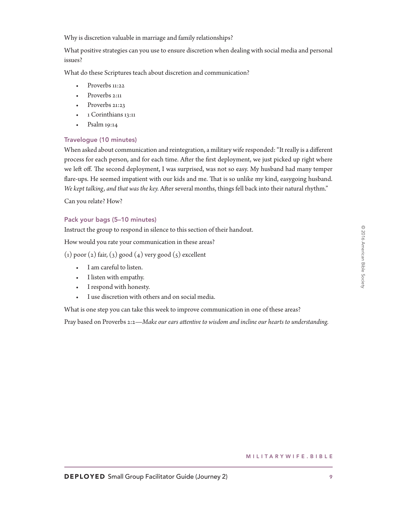Why is discretion valuable in marriage and family relationships?

What positive strategies can you use to ensure discretion when dealing with social media and personal issues?

What do these Scriptures teach about discretion and communication?

- Proverbs 11:22
- Proverbs 2:11
- Proverbs 21:23
- 1 Corinthians 13:11
- Psalm 19:14

# Travelogue (10 minutes)

When asked about communication and reintegration, a military wife responded: "It really is a different process for each person, and for each time. After the first deployment, we just picked up right where we left off. The second deployment, I was surprised, was not so easy. My husband had many temper flare-ups. He seemed impatient with our kids and me. That is so unlike my kind, easygoing husband. *We kept talking, and that was the key.* After several months, things fell back into their natural rhythm."

Can you relate? How?

# Pack your bags (5–10 minutes)

Instruct the group to respond in silence to this section of their handout.

How would you rate your communication in these areas?

(1) poor (2) fair, (3) good (4) very good (5) excellent

- I am careful to listen.
- I listen with empathy.
- I respond with honesty.
- I use discretion with others and on social media.

What is one step you can take this week to improve communication in one of these areas?

Pray based on Proverbs 2:2—*Make our ears attentive to wisdom and incline our hearts to understanding.*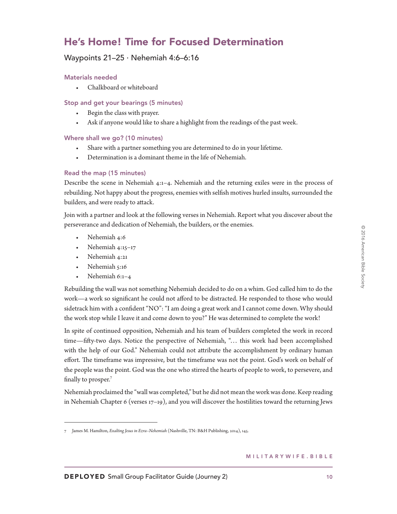# He's Home! Time for Focused Determination

# Waypoints 21–25 ∙ Nehemiah 4:6–6:16

# Materials needed

• Chalkboard or whiteboard

# Stop and get your bearings (5 minutes)

- Begin the class with prayer.
- Ask if anyone would like to share a highlight from the readings of the past week.

# Where shall we go? (10 minutes)

- Share with a partner something you are determined to do in your lifetime.
- Determination is a dominant theme in the life of Nehemiah.

# Read the map (15 minutes)

Describe the scene in Nehemiah 4:1–4. Nehemiah and the returning exiles were in the process of rebuilding. Not happy about the progress, enemies with selfish motives hurled insults, surrounded the builders, and were ready to attack.

Join with a partner and look at the following verses in Nehemiah. Report what you discover about the perseverance and dedication of Nehemiah, the builders, or the enemies.

- Nehemiah 4:6
- Nehemiah 4:15–17
- Nehemiah 4:21
- Nehemiah 5:16
- Nehemiah 6:1–4

Rebuilding the wall was not something Nehemiah decided to do on a whim. God called him to do the work—a work so significant he could not afford to be distracted. He responded to those who would sidetrack him with a confident "NO": "I am doing a great work and I cannot come down. Why should the work stop while I leave it and come down to you?" He was determined to complete the work!

In spite of continued opposition, Nehemiah and his team of builders completed the work in record time—fifty-two days. Notice the perspective of Nehemiah, "… this work had been accomplished with the help of our God." Nehemiah could not attribute the accomplishment by ordinary human effort. The timeframe was impressive, but the timeframe was not the point. God's work on behalf of the people was the point. God was the one who stirred the hearts of people to work, to persevere, and finally to prosper.<sup>7</sup>

Nehemiah proclaimed the "wall was completed," but he did not mean the work was done. Keep reading in Nehemiah Chapter 6 (verses  $17-19$ ), and you will discover the hostilities toward the returning Jews

© 2016 American Bible Society

2016 American Bible Society

<sup>7</sup> James M. Hamilton, *Exalting Jesus in Ezra–Nehemiah* (Nashville, TN: B&H Publishing, 2014), 145.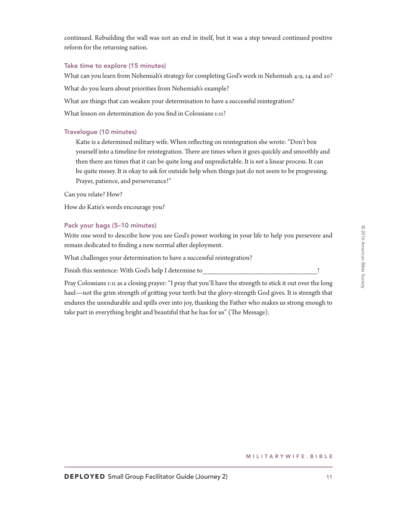continued. Rebuilding the wall was not an end in itself, but it was a step toward continued positive reform for the returning nation.

### Take time to explore (15 minutes)

What can you learn from Nehemiah's strategy for completing God's work in Nehemiah 4:9, 14 and 20?

What do you learn about priorities from Nehemiah's example?

What are things that can weaken your determination to have a successful reintegration?

What lesson on determination do you find in Colossians 1:11?

# Travelogue (10 minutes)

Katie is a determined military wife. When reflecting on reintegration she wrote: "Don't box yourself into a timeline for reintegration. There are times when it goes quickly and smoothly and then there are times that it can be quite long and unpredictable. It is *not* a linear process. It can be quite messy. It is okay to ask for outside help when things just do not seem to be progressing. Prayer, patience, and perseverance!"

Can you relate? How?

How do Katie's words encourage you?

# Pack your bags (5–10 minutes)

Write one word to describe how you see God's power working in your life to help you persevere and remain dedicated to finding a new normal after deployment.

What challenges your determination to have a successful reintegration?

Finish this sentence: With God's help I determine to

Pray Colossians 1:11 as a closing prayer: "I pray that you'll have the strength to stick it out over the long haul—not the grim strength of gritting your teeth but the glory-strength God gives. It is strength that endures the unendurable and spills over into joy, thanking the Father who makes us strong enough to take part in everything bright and beautiful that he has for us" (The Message).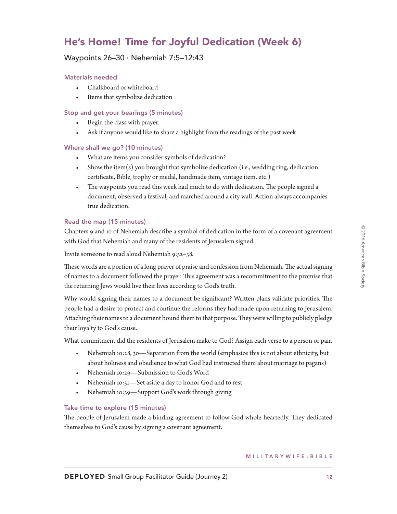# He's Home! Time for Joyful Dedication (Week 6)

# Waypoints 26–30 ∙ Nehemiah 7:5–12:43

# Materials needed

- Chalkboard or whiteboard
- Items that symbolize dedication

# Stop and get your bearings (5 minutes)

- Begin the class with prayer.
- Ask if anyone would like to share a highlight from the readings of the past week.

### Where shall we go? (10 minutes)

- What are items you consider symbols of dedication?
- Show the item(s) you brought that symbolize dedication (i.e., wedding ring, dedication certificate, Bible, trophy or medal, handmade item, vintage item, etc.)
- The waypoints you read this week had much to do with dedication. The people signed a document, observed a festival, and marched around a city wall. Action always accompanies true dedication.

# Read the map (15 minutes)

Chapters 9 and 10 of Nehemiah describe a symbol of dedication in the form of a covenant agreement with God that Nehemiah and many of the residents of Jerusalem signed.

Invite someone to read aloud Nehemiah 9:32–38.

These words are a portion of a long prayer of praise and confession from Nehemiah. The actual signing of names to a document followed the prayer. This agreement was a recommitment to the promise that the returning Jews would live their lives according to God's truth.

Why would signing their names to a document be significant? Written plans validate priorities. The people had a desire to protect and continue the reforms they had made upon returning to Jerusalem. Attaching their names to a document bound them to that purpose. They were willing to publicly pledge their loyalty to God's cause.

What commitment did the residents of Jerusalem make to God? Assign each verse to a person or pair.

- Nehemiah 10:28, 30—Separation from the world (emphasize this is not about ethnicity, but about holiness and obedience to what God had instructed them about marriage to pagans)
- Nehemiah 10:29—Submission to God's Word
- Nehemiah 10:31—Set aside a day to honor God and to rest
- Nehemiah 10:39—Support God's work through giving

### Take time to explore (15 minutes)

The people of Jerusalem made a binding agreement to follow God whole-heartedly. They dedicated themselves to God's cause by signing a covenant agreement.